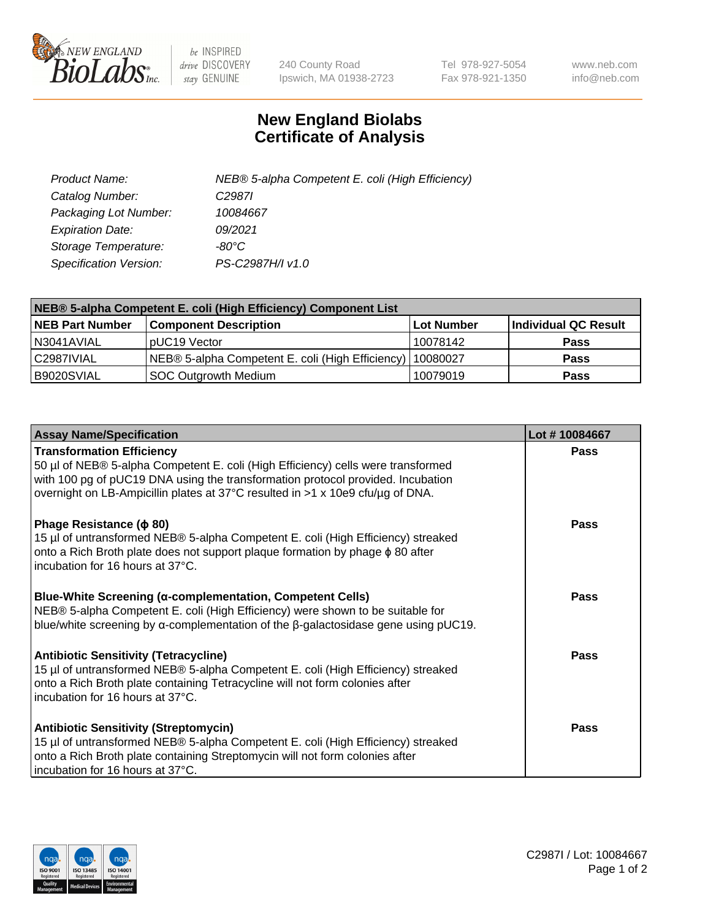

 $be$  INSPIRED drive DISCOVERY stay GENUINE

240 County Road Ipswich, MA 01938-2723 Tel 978-927-5054 Fax 978-921-1350 www.neb.com info@neb.com

## **New England Biolabs Certificate of Analysis**

| Product Name:           | NEB® 5-alpha Competent E. coli (High Efficiency) |
|-------------------------|--------------------------------------------------|
| Catalog Number:         | C <sub>2987</sub>                                |
| Packaging Lot Number:   | 10084667                                         |
| <b>Expiration Date:</b> | 09/2021                                          |
| Storage Temperature:    | -80°C                                            |
| Specification Version:  | PS-C2987H/I v1.0                                 |

| NEB® 5-alpha Competent E. coli (High Efficiency) Component List |                                                  |            |                      |  |
|-----------------------------------------------------------------|--------------------------------------------------|------------|----------------------|--|
| <b>NEB Part Number</b>                                          | <b>Component Description</b>                     | Lot Number | Individual QC Result |  |
| N3041AVIAL                                                      | pUC19 Vector                                     | 10078142   | <b>Pass</b>          |  |
| C2987IVIAL                                                      | NEB® 5-alpha Competent E. coli (High Efficiency) | l 10080027 | <b>Pass</b>          |  |
| B9020SVIAL                                                      | SOC Outgrowth Medium                             | 10079019   | <b>Pass</b>          |  |

| <b>Assay Name/Specification</b>                                                                                                                                                                                                                                                           | Lot #10084667 |
|-------------------------------------------------------------------------------------------------------------------------------------------------------------------------------------------------------------------------------------------------------------------------------------------|---------------|
| <b>Transformation Efficiency</b><br>50 µl of NEB® 5-alpha Competent E. coli (High Efficiency) cells were transformed<br>with 100 pg of pUC19 DNA using the transformation protocol provided. Incubation<br>overnight on LB-Ampicillin plates at 37°C resulted in >1 x 10e9 cfu/µg of DNA. | <b>Pass</b>   |
| Phage Resistance ( $\phi$ 80)<br>15 µl of untransformed NEB® 5-alpha Competent E. coli (High Efficiency) streaked<br>onto a Rich Broth plate does not support plaque formation by phage $\phi$ 80 after<br>incubation for 16 hours at 37°C.                                               | Pass          |
| Blue-White Screening (α-complementation, Competent Cells)<br>NEB® 5-alpha Competent E. coli (High Efficiency) were shown to be suitable for<br>blue/white screening by $\alpha$ -complementation of the $\beta$ -galactosidase gene using pUC19.                                          | Pass          |
| <b>Antibiotic Sensitivity (Tetracycline)</b><br>15 µl of untransformed NEB® 5-alpha Competent E. coli (High Efficiency) streaked<br>onto a Rich Broth plate containing Tetracycline will not form colonies after<br>incubation for 16 hours at 37°C.                                      | Pass          |
| <b>Antibiotic Sensitivity (Streptomycin)</b><br>15 µl of untransformed NEB® 5-alpha Competent E. coli (High Efficiency) streaked<br>onto a Rich Broth plate containing Streptomycin will not form colonies after<br>incubation for 16 hours at 37°C.                                      | Pass          |